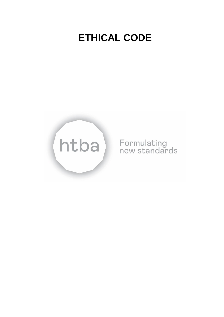# **ETHICAL CODE**



# Formulating<br>new standards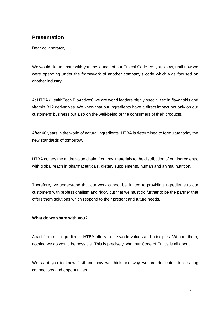# **Presentation**

Dear collaborator,

We would like to share with you the launch of our Ethical Code. As you know, until now we were operating under the framework of another company's code which was focused on another industry.

At HTBA (HealthTech BioActives) we are world leaders highly specialized in flavonoids and vitamin B12 derivatives. We know that our ingredients have a direct impact not only on our customers' business but also on the well-being of the consumers of their products.

After 40 years in the world of natural ingredients, HTBA is determined to formulate today the new standards of tomorrow.

HTBA covers the entire value chain, from raw materials to the distribution of our ingredients, with global reach in pharmaceuticals, dietary supplements, human and animal nutrition.

Therefore, we understand that our work cannot be limited to providing ingredients to our customers with professionalism and rigor, but that we must go further to be the partner that offers them solutions which respond to their present and future needs.

# **What do we share with you?**

Apart from our ingredients, HTBA offers to the world values and principles. Without them, nothing we do would be possible. This is precisely what our Code of Ethics is all about.

We want you to know firsthand how we think and why we are dedicated to creating connections and opportunities.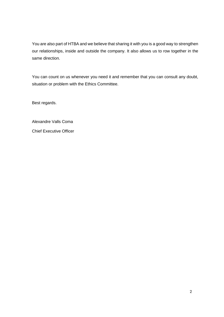You are also part of HTBA and we believe that sharing it with you is a good way to strengthen our relationships, inside and outside the company. It also allows us to row together in the same direction.

You can count on us whenever you need it and remember that you can consult any doubt, situation or problem with the Ethics Committee.

Best regards.

Alexandre Valls Coma Chief Executive Officer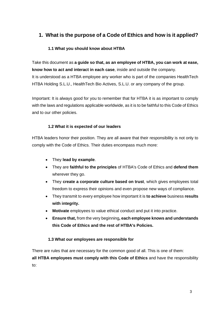# **1. What is the purpose of a Code of Ethics and how is it applied?**

# **1.1 What you should know about HTBA**

Take this document as **a guide so that, as an employee of HTBA, you can work at ease, know how to act and interact in each case**, inside and outside the company. It is understood as a HTBA employee any worker who is part of the companies HealthTech HTBA Holding S.L.U., HealthTech Bio Actives, S.L.U. or any company of the group.

Important: It is always good for you to remember that for HTBA it is as important to comply with the laws and regulations applicable worldwide, as it is to be faithful to this Code of Ethics and to our other policies.

# **1.2 What it is expected of our leaders**

HTBA leaders honor their position. They are all aware that their responsibility is not only to comply with the Code of Ethics. Their duties encompass much more:

- They **lead by example**.
- They are **faithful to the principles** of HTBA's Code of Ethics and **defend them** wherever they go.
- They **create a corporate culture based on trust**, which gives employees total freedom to express their opinions and even propose new ways of compliance.
- They transmit to every employee how important it is **to achieve** business **results with integrity.**
- **Motivate** employees to value ethical conduct and put it into practice.
- **Ensure that,** from the very beginning**, each employee knows and understands this Code of Ethics and the rest of HTBA's Policies.**

# **1.3 What our employees are responsible for**

There are rules that are necessary for the common good of all. This is one of them: **all HTBA employees must comply with this Code of Ethics** and have the responsibility to: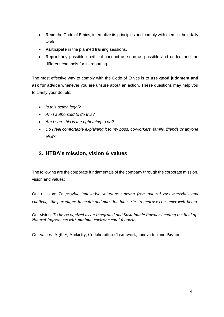- **Read** the Code of Ethics, internalize its principles and comply with them in their daily work.
- **Participate** in the planned training sessions.
- **Report** any possible unethical conduct as soon as possible and understand the different channels for its reporting.

The most effective way to comply with the Code of Ethics is to **use good judgment and**  ask for advice whenever you are unsure about an action. These questions may help you to clarify your doubts:

- *Is this action legal?*
- *Am I authorized to do this?*
- *Am I sure this is the right thing to do?*
- *Do I feel comfortable explaining it to my boss, co-workers, family, friends or anyone else?*

# **2. HTBA's mission, vision & values**

The following are the corporate fundamentals of the company through the corporate mission, vision and values:

Our mission: *To provide innovative solutions starting from natural raw materials and challenge the paradigms in health and nutrition industries to improve consumer well-being.*

Our vision: *To be recognized as an Integrated and Sustainable Partner Leading the field of Natural Ingredients with minimal environmental footprint*.

Our values: Agility, Audacity, Collaboration / Teamwork, Innovation and Passion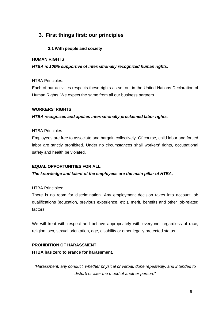# **3. First things first: our principles**

# **3.1 With people and society**

# **HUMAN RIGHTS**

# *HTBA is 100% supportive of internationally recognized human rights.*

# HTBA Principles:

Each of our activities respects these rights as set out in the United Nations Declaration of Human Rights. We expect the same from all our business partners.

# **WORKERS' RIGHTS**

# *HTBA recognizes and applies internationally proclaimed labor rights.*

# HTBA Principles:

Employees are free to associate and bargain collectively. Of course, child labor and forced labor are strictly prohibited. Under no circumstances shall workers' rights, occupational safety and health be violated.

# **EQUAL OPPORTUNITIES FOR ALL**

# *The knowledge and talent of the employees are the main pillar of HTBA.*

# HTBA Principles:

There is no room for discrimination. Any employment decision takes into account job qualifications (education, previous experience, etc.), merit, benefits and other job-related factors.

We will treat with respect and behave appropriately with everyone, regardless of race, religion, sex, sexual orientation, age, disability or other legally protected status.

# **PROHIBITION OF HARASSMENT**

# **HTBA has zero tolerance for harassment.**

*"Harassment: any conduct, whether physical or verbal, done repeatedly, and intended to disturb or alter the mood of another person."*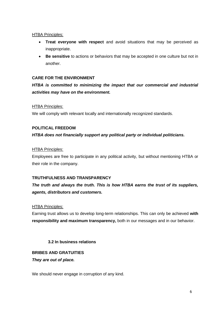- **Treat everyone with respect** and avoid situations that may be perceived as inappropriate.
- **Be sensitive** to actions or behaviors that may be accepted in one culture but not in another.

# **CARE FOR THE ENVIRONMENT**

*HTBA is committed to minimizing the impact that our commercial and industrial activities may have on the environment.* 

# HTBA Principles:

We will comply with relevant locally and internationally recognized standards.

# **POLITICAL FREEDOM**

# *HTBA does not financially support any political party or individual politicians.*

#### HTBA Principles:

Employees are free to participate in any political activity, but without mentioning HTBA or their role in the company.

# **TRUTHFULNESS AND TRANSPARENCY**

*The truth and always the truth. This is how HTBA earns the trust of its suppliers, agents, distributors and customers.* 

#### HTBA Principles:

Earning trust allows us to develop long-term relationships. This can only be achieved **with responsibility and maximum transparency,** both in our messages and in our behavior.

# **3.2 In business relations**

# **BRIBES AND GRATUITIES**

#### *They are out of place.*

We should never engage in corruption of any kind.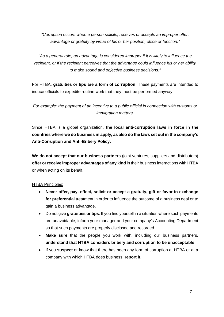*"Corruption occurs when a person solicits, receives or accepts an improper offer, advantage or gratuity by virtue of his or her position, office or function."* 

*"As a general rule, an advantage is considered improper if it is likely to influence the recipient, or if the recipient perceives that the advantage could influence his or her ability to make sound and objective business decisions."*

For HTBA, **gratuities or tips are a form of corruption**. These payments are intended to induce officials to expedite routine work that they must be performed anyway.

*For example: the payment of an incentive to a public official in connection with customs or immigration matters.*

Since HTBA is a global organization, **the local anti-corruption laws in force in the countries where we do business in apply, as also do the laws set out in the company's Anti-Corruption and Anti-Bribery Policy.**

**We do not accept that our business partners** (joint ventures, suppliers and distributors) **offer or receive improper advantages of any kind** in their business interactions with HTBA or when acting on its behalf.

# HTBA Principles:

- **Never offer, pay, effect, solicit or accept a gratuity, gift or favor in exchange for preferential** treatment in order to influence the outcome of a business deal or to gain a business advantage.
- Do not give **gratuities or tips**. If you find yourself in a situation where such payments are unavoidable, inform your manager and your company's Accounting Department so that such payments are properly disclosed and recorded.
- **Make sure** that the people you work with, including our business partners, **understand that HTBA considers bribery and corruption to be unacceptable**.
- If you **suspect** or know that there has been any form of corruption at HTBA or at a company with which HTBA does business, **report it.**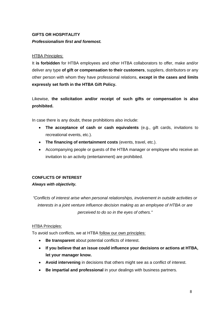# **GIFTS OR HOSPITALITY** *Professionalism first and foremost.*

# HTBA Principles:

It **is forbidden** for HTBA employees and other HTBA collaborators to offer, make and/or deliver any type **of gift or compensation to their customers**, suppliers, distributors or any other person with whom they have professional relations, **except in the cases and limits expressly set forth in the HTBA Gift Policy.**

Likewise, **the solicitation and/or receipt of such gifts or compensation is also prohibited.**

In case there is any doubt, these prohibitions also include:

- **The acceptance of cash or cash equivalents** (e.g., gift cards, invitations to recreational events, etc.).
- **The financing of entertainment costs** (events, travel, etc.).
- Accompanying people or guests of the HTBA manager or employee who receive an invitation to an activity (entertainment) are prohibited.

# **CONFLICTS OF INTEREST**

# *Always with objectivity.*

*"Conflicts of interest arise when personal relationships, involvement in outside activities or interests in a joint venture influence decision making as an employee of HTBA or are perceived to do so in the eyes of others."*

# HTBA Principles:

To avoid such conflicts, we at HTBA follow our own principles:

- **Be transparent** about potential conflicts of interest.
- **If you believe that an issue could influence your decisions or actions at HTBA, let your manager know.**
- **Avoid intervening** in decisions that others might see as a conflict of interest.
- **Be impartial and professional** in your dealings with business partners.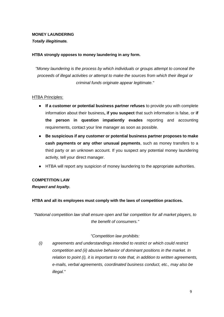# **MONEY LAUNDERING**

*Totally illegitimate.*

# **HTBA strongly opposes to money laundering in any form.**

*"Money laundering is the process by which individuals or groups attempt to conceal the proceeds of illegal activities or attempt to make the sources from which their illegal or criminal funds originate appear legitimate."*

# **HTBA Principles:**

- **If a customer or potential business partner refuses** to provide you with complete information about their business**, if you suspect** that such information is false, or **if the person in question impatiently evades** reporting and accounting requirements, contact your line manager as soon as possible.
- **Be suspicious if any customer or potential business partner proposes to make cash payments or any other unusual payments**, such as money transfers to a third party or an unknown account. If you suspect any potential money laundering activity, tell your direct manager.
- HTBA will report any suspicion of money laundering to the appropriate authorities.

# **COMPETITION LAW**

*Respect and loyalty.*

# **HTBA and all its employees must comply with the laws of competition practices.**

*"National competition law shall ensure open and fair competition for all market players, to the benefit of consumers."*

# *"Competition law prohibits:*

*(i) agreements and understandings intended to restrict or which could restrict competition and (ii) abusive behavior of dominant positions in the market. In relation to point (i), it is important to note that, in addition to written agreements, e-mails, verbal agreements, coordinated business conduct, etc., may also be illegal."*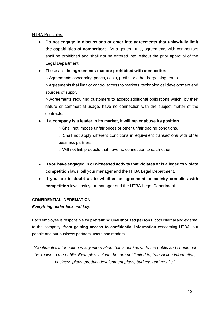- **Do not engage in discussions or enter into agreements that unlawfully limit the capabilities of competitors**. As a general rule, agreements with competitors shall be prohibited and shall not be entered into without the prior approval of the Legal Department.
- These are **the agreements that are prohibited with competitors**:

○ Agreements concerning prices, costs, profits or other bargaining terms.

○ Agreements that limit or control access to markets, technological development and sources of supply.

 $\circ$  Agreements requiring customers to accept additional obligations which, by their nature or commercial usage, have no connection with the subject matter of the contracts.

- **If a company is a leader in its market, it will never abuse its position.**
	- Shall not impose unfair prices or other unfair trading conditions.

○ Shall not apply different conditions in equivalent transactions with other business partners.

○ Will not link products that have no connection to each other.

- **If you have engaged in or witnessed activity that violates or is alleged to violate competition** laws, tell your manager and the HTBA Legal Department.
- **If you are in doubt as to whether an agreement or activity complies with competition** laws, ask your manager and the HTBA Legal Department.

# **CONFIDENTIAL INFORMATION**

*Everything under lock and key.*

Each employee is responsible for **preventing unauthorized persons**, both internal and external to the company, **from gaining access to confidential information** concerning HTBA, our people and our business partners, users and readers.

*"Confidential information is any information that is not known to the public and should not be known to the public. Examples include, but are not limited to, transaction information, business plans, product development plans, budgets and results."*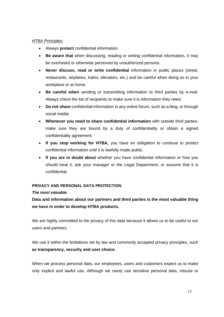- Always **protect** confidential information.
- **Be aware that** when discussing, reading or writing confidential information, it may be overheard or otherwise perceived by unauthorized persons.
- **Never discuss, read or write confidential** information in public places (street, restaurants, airplanes, trains, elevators, etc.) and be careful when doing so in your workplace or at home.
- **Be careful when** sending or transmitting information to third parties by e-mail. Always check the list of recipients to make sure it is information they need.
- **Do not share** confidential information in any online forum, such as a blog, or through social media.
- **Whenever you need to share confidential information** with outside third parties, make sure they are bound by a duty of confidentiality or obtain a signed confidentiality agreement.
- **If you stop working for HTBA,** you have an obligation to continue to protect confidential information until it is lawfully made public.
- **If you are in doubt about** whether you have confidential information or how you should treat it, ask your manager or the Legal Department, or assume that it is confidential.

# **PRIVACY AND PERSONAL DATA PROTECTION**

# *The most valuable.*

**Data and information about our partners and third parties is the most valuable thing we have in order to develop HTBA products.** 

We are highly committed to the privacy of this data because it allows us to be useful to our users and partners.

We use it within the limitations set by law and commonly accepted privacy principles, such **as transparency, security and user choice.**

When we process personal data, our employees, users and customers expect us to make only explicit and lawful use. Although we rarely use sensitive personal data, misuse or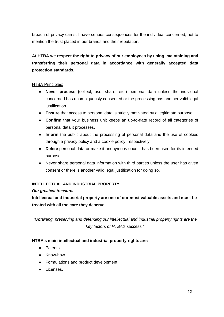breach of privacy can still have serious consequences for the individual concerned, not to mention the trust placed in our brands and their reputation.

# **At HTBA we respect the right to privacy of our employees by using, maintaining and transferring their personal data in accordance with generally accepted data protection standards.**

# HTBA Principles:

- **Never process (**collect, use, share, etc.) personal data unless the individual concerned has unambiguously consented or the processing has another valid legal justification.
- **Ensure** that access to personal data is strictly motivated by a legitimate purpose.
- **Confirm** that your business unit keeps an up-to-date record of all categories of personal data it processes.
- **Inform** the public about the processing of personal data and the use of cookies through a privacy policy and a cookie policy, respectively.
- **Delete** personal data or make it anonymous once it has been used for its intended purpose.
- Never share personal data information with third parties unless the user has given consent or there is another valid legal justification for doing so.

# **INTELLECTUAL AND INDUSTRIAL PROPERTY**

# *Our greatest treasure.*

**Intellectual and industrial property are one of our most valuable assets and must be treated with all the care they deserve.** 

*"Obtaining, preserving and defending our intellectual and industrial property rights are the key factors of HTBA's success."*

# **HTBA's main intellectual and industrial property rights are:**

- Patents.
- Know-how.
- Formulations and product development.
- Licenses.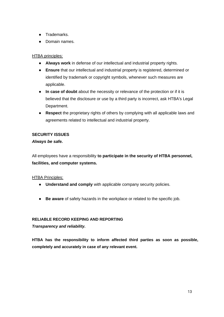- Trademarks.
- Domain names.

- **Always work** in defense of our intellectual and industrial property rights.
- **Ensure** that our intellectual and industrial property is registered, determined or identified by trademark or copyright symbols, whenever such measures are applicable.
- **In case of doubt** about the necessity or relevance of the protection or if it is believed that the disclosure or use by a third party is incorrect, ask HTBA's Legal Department.
- **Respect** the proprietary rights of others by complying with all applicable laws and agreements related to intellectual and industrial property.

# **SECURITY ISSUES**

# *Always be safe.*

All employees have a responsibility **to participate in the security of HTBA personnel, facilities, and computer systems.**

# **HTBA Principles:**

- **Understand and comply** with applicable company security policies.
- **Be aware** of safety hazards in the workplace or related to the specific job.

# **RELIABLE RECORD KEEPING AND REPORTING**

*Transparency and reliability.*

**HTBA has the responsibility to inform affected third parties as soon as possible, completely and accurately in case of any relevant event.**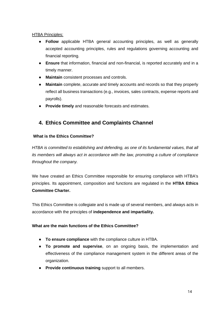- **Follow** applicable HTBA general accounting principles, as well as generally accepted accounting principles, rules and regulations governing accounting and financial reporting.
- **Ensure** that information, financial and non-financial, is reported accurately and in a timely manner.
- **Maintain** consistent processes and controls.
- **Maintain** complete, accurate and timely accounts and records so that they properly reflect all business transactions (e.g., invoices, sales contracts, expense reports and payrolls).
- **Provide timely** and reasonable forecasts and estimates.

# **4. Ethics Committee and Complaints Channel**

# **What is the Ethics Committee?**

*HTBA is committed to establishing and defending, as one of its fundamental values, that all its members will always act in accordance with the law, promoting a culture of compliance throughout the company.*

We have created an Ethics Committee responsible for ensuring compliance with HTBA's principles. Its appointment, composition and functions are regulated in the **HTBA Ethics Committee Charter.**

This Ethics Committee is collegiate and is made up of several members, and always acts in accordance with the principles of **independence and impartiality.**

# **What are the main functions of the Ethics Committee?**

- **To ensure compliance** with the compliance culture in HTBA.
- **To promote and supervise**, on an ongoing basis, the implementation and effectiveness of the compliance management system in the different areas of the organization.
- **Provide continuous training** support to all members.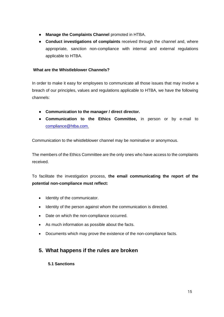- **Manage the Complaints Channel** promoted in HTBA.
- **Conduct investigations of complaints** received through the channel and, where appropriate, sanction non-compliance with internal and external regulations applicable to HTBA.

# **What are the Whistleblower Channels?**

In order to make it easy for employees to communicate all those issues that may involve a breach of our principles, values and regulations applicable to HTBA, we have the following channels:

- **Communication to the manager / direct director.**
- **Communication to the Ethics Committee,** in person or by e-mail to compliance@htba.com.

Communication to the whistleblower channel may be nominative or anonymous.

The members of the Ethics Committee are the only ones who have access to the complaints received.

To facilitate the investigation process, **the email communicating the report of the potential non-compliance must reflect:** 

- Identity of the communicator.
- Identity of the person against whom the communication is directed.
- Date on which the non-compliance occurred.
- As much information as possible about the facts.
- Documents which may prove the existence of the non-compliance facts.

# **5. What happens if the rules are broken**

# **5.1 Sanctions**